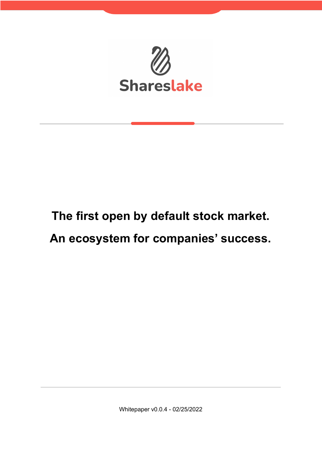

# **The first open by default stock market.**

# **An ecosystem for companies' success.**

Whitepaper v0.0.4 - 02/25/2022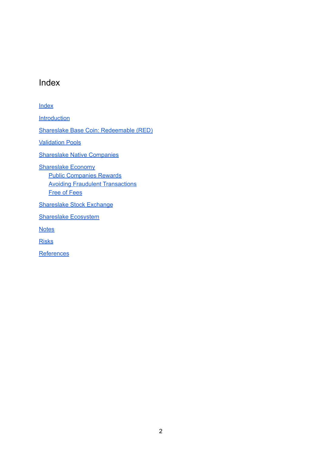### <span id="page-1-0"></span>Index

#### [Index](#page-1-0)

**[Introduction](#page-2-0)** 

Shareslake Base Coin: [Redeemable](#page-4-0) (RED)

**[Validation](#page-7-0) Pools** 

Shareslake Native [Companies](#page-8-0)

[Shareslake](#page-9-0) Economy

Public [Companies](#page-9-1) Rewards Avoiding Fraudulent [Transactions](#page-11-0) Free of [Fees](#page-11-1)

[Shareslake](#page-13-0) Stock Exchange

[Shareslake](#page-14-0) Ecosystem

**[Notes](#page-15-0)** 

[Risks](#page-15-1)

**[References](#page-15-2)**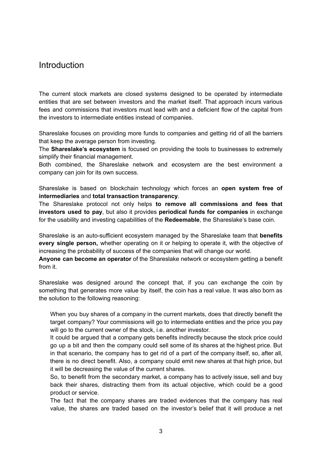#### <span id="page-2-0"></span>Introduction

The current stock markets are closed systems designed to be operated by intermediate entities that are set between investors and the market itself. That approach incurs various fees and commissions that investors must lead with and a deficient flow of the capital from the investors to intermediate entities instead of companies.

Shareslake focuses on providing more funds to companies and getting rid of all the barriers that keep the average person from investing.

The **Shareslake's ecosystem** is focused on providing the tools to businesses to extremely simplify their financial management.

Both combined, the Shareslake network and ecosystem are the best environment a company can join for its own success.

Shareslake is based on blockchain technology which forces an **open system free of intermediaries** and **total transaction transparency**.

The Shareslake protocol not only helps **to remove all commissions and fees that investors used to pay**, but also it provides **periodical funds for companies** in exchange for the usability and investing capabilities of the **Redeemable**, the Shareslake's base coin.

Shareslake is an auto-sufficient ecosystem managed by the Shareslake team that **benefits every single person,** whether operating on it or helping to operate it, with the objective of increasing the probability of success of the companies that will change our world.

**Anyone can become an operator** of the Shareslake network or ecosystem getting a benefit from it.

Shareslake was designed around the concept that, if you can exchange the coin by something that generates more value by itself, the coin has a real value. It was also born as the solution to the following reasoning:

When you buy shares of a company in the current markets, does that directly benefit the target company? Your commissions will go to intermediate entities and the price you pay will go to the current owner of the stock, i.e. another investor.

It could be argued that a company gets benefits indirectly because the stock price could go up a bit and then the company could sell some of its shares at the highest price. But in that scenario, the company has to get rid of a part of the company itself, so, after all, there is no direct benefit. Also, a company could emit new shares at that high price, but it will be decreasing the value of the current shares.

So, to benefit from the secondary market, a company has to actively issue, sell and buy back their shares, distracting them from its actual objective, which could be a good product or service.

The fact that the company shares are traded evidences that the company has real value, the shares are traded based on the investor's belief that it will produce a net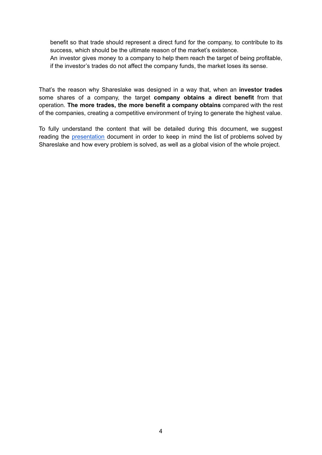benefit so that trade should represent a direct fund for the company, to contribute to its success, which should be the ultimate reason of the market's existence.

An investor gives money to a company to help them reach the target of being profitable, if the investor's trades do not affect the company funds, the market loses its sense.

That's the reason why Shareslake was designed in a way that, when an **investor trades** some shares of a company, the target **company obtains a direct benefit** from that operation. **The more trades, the more benefit a company obtains** compared with the rest of the companies, creating a competitive environment of trying to generate the highest value.

To fully understand the content that will be detailed during this document, we suggest reading the [presentation](https://www.shareslake.com/wp-content/uploads/2022/01/Presentation1.pdf) document in order to keep in mind the list of problems solved by Shareslake and how every problem is solved, as well as a global vision of the whole project.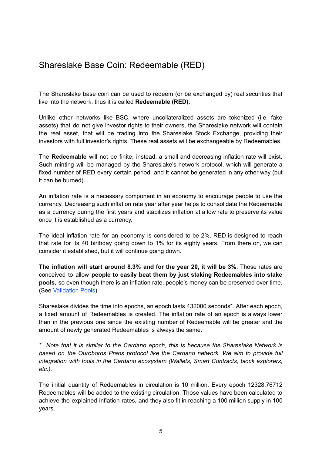# <span id="page-4-0"></span>Shareslake Base Coin: Redeemable (RED)

The Shareslake base coin can be used to redeem (or be exchanged by) real securities that live into the network, thus it is called **Redeemable (RED).**

Unlike other networks like BSC, where uncollateralized assets are tokenized (i.e. fake assets) that do not give investor rights to their owners, the Shareslake network will contain the real asset, that will be trading into the Shareslake Stock Exchange, providing their investors with full investor's rights. These real assets will be exchangeable by Redeemables.

The **Redeemable** will not be finite, instead, a small and decreasing inflation rate will exist. Such minting will be managed by the Shareslake's network protocol, which will generate a fixed number of RED every certain period, and it cannot be generated in any other way (but it can be burned).

An inflation rate is a necessary component in an economy to encourage people to use the currency. Decreasing such inflation rate year after year helps to consolidate the Redeemable as a currency during the first years and stabilizes inflation at a low rate to preserve its value once it is established as a currency.

The ideal inflation rate for an economy is considered to be 2%. RED is designed to reach that rate for its 40 birthday going down to 1% for its eighty years. From there on, we can consider it established, but it will continue going down.

**The inflation will start around 8.3% and for the year 20, it will be 3%**. Those rates are conceived to allow **people to easily beat them by just staking Redeemables into stake pools**, so even though there is an inflation rate, people's money can be preserved over time. (See [Validation](#page-7-0) Pools)

Shareslake divides the time into epochs, an epoch lasts 432000 seconds\*. After each epoch, a fixed amount of Redeemables is created. The inflation rate of an epoch is always lower than in the previous one since the existing number of Redeemable will be greater and the amount of newly generated Redeemables is always the same.

*\* Note that it is similar to the Cardano epoch, this is because the Shareslake Network is based on the Ouroboros Praos protocol like the Cardano network. We aim to provide full integration with tools in the Cardano ecosystem (Wallets, Smart Contracts, block explorers, etc.).*

The initial quantity of Redeemables in circulation is 10 million. Every epoch 12328.76712 Redeemables will be added to the existing circulation. Those values have been calculated to achieve the explained inflation rates, and they also fit in reaching a 100 million supply in 100 years.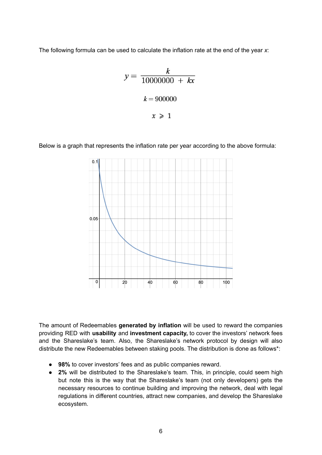The following formula can be used to calculate the inflation rate at the end of the year *x*:

$$
y = \frac{k}{10000000 + kx}
$$

$$
k = 900000
$$

$$
x \ge 1
$$

Below is a graph that represents the inflation rate per year according to the above formula:



The amount of Redeemables **generated by inflation** will be used to reward the companies providing RED with **usability** and **investment capacity,** to cover the investors' network fees and the Shareslake's team. Also, the Shareslake's network protocol by design will also distribute the new Redeemables between staking pools. The distribution is done as follows\*:

- **98%** to cover investors' fees and as public companies reward.
- **2%** will be distributed to the Shareslake's team. This, in principle, could seem high but note this is the way that the Shareslake's team (not only developers) gets the necessary resources to continue building and improving the network, deal with legal regulations in different countries, attract new companies, and develop the Shareslake ecosystem.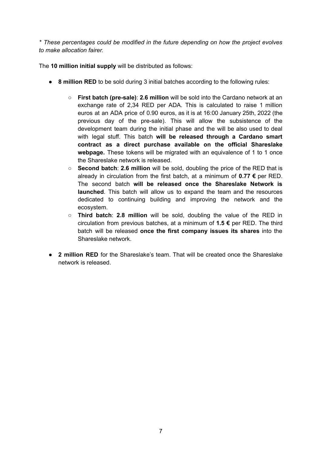*\* These percentages could be modified in the future depending on how the project evolves to make allocation fairer.*

The **10 million initial supply** will be distributed as follows:

- **8 million RED** to be sold during 3 initial batches according to the following rules:
	- **First batch (pre-sale)**: **2.6 million** will be sold into the Cardano network at an exchange rate of 2,34 RED per ADA. This is calculated to raise 1 million euros at an ADA price of 0.90 euros, as it is at 16:00 January 25th, 2022 (the previous day of the pre-sale). This will allow the subsistence of the development team during the initial phase and the will be also used to deal with legal stuff. This batch **will be released through a Cardano smart contract as a direct purchase available on the official Shareslake webpage.** These tokens will be migrated with an equivalence of 1 to 1 once the Shareslake network is released.
	- **Second batch**: **2.6 million** will be sold, doubling the price of the RED that is already in circulation from the first batch, at a minimum of **0.77 €** per RED. The second batch **will be released once the Shareslake Network is launched**. This batch will allow us to expand the team and the resources dedicated to continuing building and improving the network and the ecosystem.
	- **Third batch**: **2.8 million** will be sold, doubling the value of the RED in circulation from previous batches, at a minimum of **1.5 €** per RED. The third batch will be released **once the first company issues its shares** into the Shareslake network.
- **2 million RED** for the Shareslake's team. That will be created once the Shareslake network is released.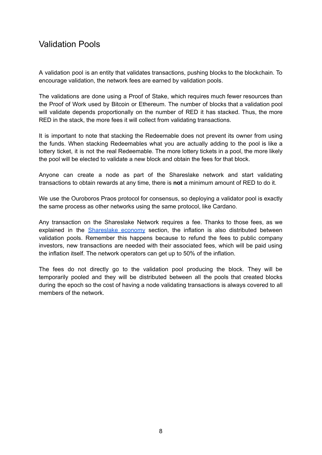## <span id="page-7-0"></span>Validation Pools

A validation pool is an entity that validates transactions, pushing blocks to the blockchain. To encourage validation, the network fees are earned by validation pools.

The validations are done using a Proof of Stake, which requires much fewer resources than the Proof of Work used by Bitcoin or Ethereum. The number of blocks that a validation pool will validate depends proportionally on the number of RED it has stacked. Thus, the more RED in the stack, the more fees it will collect from validating transactions.

It is important to note that stacking the Redeemable does not prevent its owner from using the funds. When stacking Redeemables what you are actually adding to the pool is like a lottery ticket, it is not the real Redeemable. The more lottery tickets in a pool, the more likely the pool will be elected to validate a new block and obtain the fees for that block.

Anyone can create a node as part of the Shareslake network and start validating transactions to obtain rewards at any time, there is **not** a minimum amount of RED to do it.

We use the Ouroboros Praos protocol for consensus, so deploying a validator pool is exactly the same process as other networks using the same protocol, like Cardano.

Any transaction on the Shareslake Network requires a fee. Thanks to those fees, as we explained in the **[Shareslake](#page-9-0) economy** section, the inflation is also distributed between validation pools. Remember this happens because to refund the fees to public company investors, new transactions are needed with their associated fees, which will be paid using the inflation itself. The network operators can get up to 50% of the inflation.

The fees do not directly go to the validation pool producing the block. They will be temporarily pooled and they will be distributed between all the pools that created blocks during the epoch so the cost of having a node validating transactions is always covered to all members of the network.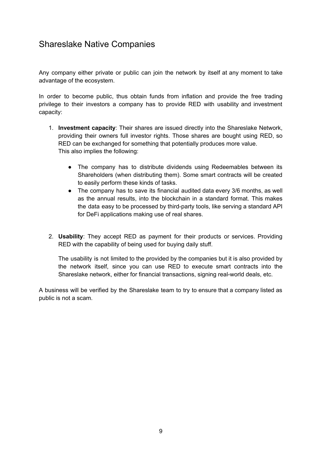# <span id="page-8-0"></span>Shareslake Native Companies

Any company either private or public can join the network by itself at any moment to take advantage of the ecosystem.

In order to become public, thus obtain funds from inflation and provide the free trading privilege to their investors a company has to provide RED with usability and investment capacity:

- 1. **Investment capacity**: Their shares are issued directly into the Shareslake Network, providing their owners full investor rights. Those shares are bought using RED, so RED can be exchanged for something that potentially produces more value. This also implies the following:
	- The company has to distribute dividends using Redeemables between its Shareholders (when distributing them). Some smart contracts will be created to easily perform these kinds of tasks.
	- The company has to save its financial audited data every 3/6 months, as well as the annual results, into the blockchain in a standard format. This makes the data easy to be processed by third-party tools, like serving a standard API for DeFi applications making use of real shares.
- 2. **Usability**: They accept RED as payment for their products or services. Providing RED with the capability of being used for buying daily stuff.

The usability is not limited to the provided by the companies but it is also provided by the network itself, since you can use RED to execute smart contracts into the Shareslake network, either for financial transactions, signing real-world deals, etc.

A business will be verified by the Shareslake team to try to ensure that a company listed as public is not a scam.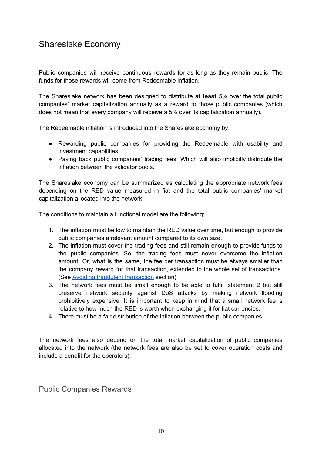# <span id="page-9-0"></span>Shareslake Economy

Public companies will receive continuous rewards for as long as they remain public. The funds for those rewards will come from Redeemable inflation.

The Shareslake network has been designed to distribute **at least** 5% over the total public companies' market capitalization annually as a reward to those public companies (which does not mean that every company will receive a 5% over its capitalization annually).

The Redeemable inflation is introduced into the Shareslake economy by:

- Rewarding public companies for providing the Redeemable with usability and investment capabilities.
- Paying back public companies' trading fees. Which will also implicitly distribute the inflation between the validator pools.

The Shareslake economy can be summarized as calculating the appropriate network fees depending on the RED value measured in fiat and the total public companies' market capitalization allocated into the network.

The conditions to maintain a functional model are the following:

- 1. The inflation must be low to maintain the RED value over time, but enough to provide public companies a relevant amount compared to its own size.
- 2. The inflation must cover the trading fees and still remain enough to provide funds to the public companies. So, the trading fees must never overcome the inflation amount. Or, what is the same, the fee per transaction must be always smaller than the company reward for that transaction, extended to the whole set of transactions. (See Avoiding fraudulent [transaction](#page-11-0) section)
- 3. The network fees must be small enough to be able to fulfill statement 2 but still preserve network security against DoS attacks by making network flooding prohibitively expensive. It is important to keep in mind that a small network fee is relative to how much the RED is worth when exchanging it for fiat currencies.
- 4. There must be a fair distribution of the inflation between the public companies.

The network fees also depend on the total market capitalization of public companies allocated into the network (the network fees are also be set to cover operation costs and include a benefit for the operators).

<span id="page-9-1"></span>Public Companies Rewards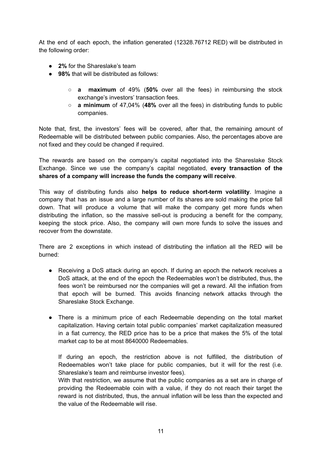At the end of each epoch, the inflation generated (12328.76712 RED) will be distributed in the following order:

- **2%** for the Shareslake's team
- 98% that will be distributed as follows:
	- **a maximum** of 49% (**50%** over all the fees) in reimbursing the stock exchange's investors' transaction fees.
	- **a minimum** of 47,04% (**48%** over all the fees) in distributing funds to public companies.

Note that, first, the investors' fees will be covered, after that, the remaining amount of Redeemable will be distributed between public companies. Also, the percentages above are not fixed and they could be changed if required.

The rewards are based on the company's capital negotiated into the Shareslake Stock Exchange. Since we use the company's capital negotiated, **every transaction of the shares of a company will increase the funds the company will receive**.

This way of distributing funds also **helps to reduce short-term volatility**. Imagine a company that has an issue and a large number of its shares are sold making the price fall down. That will produce a volume that will make the company get more funds when distributing the inflation, so the massive sell-out is producing a benefit for the company, keeping the stock price. Also, the company will own more funds to solve the issues and recover from the downstate.

There are 2 exceptions in which instead of distributing the inflation all the RED will be burned:

- Receiving a DoS attack during an epoch. If during an epoch the network receives a DoS attack, at the end of the epoch the Redeemables won't be distributed, thus, the fees won't be reimbursed nor the companies will get a reward. All the inflation from that epoch will be burned. This avoids financing network attacks through the Shareslake Stock Exchange.
- There is a minimum price of each Redeemable depending on the total market capitalization. Having certain total public companies' market capitalization measured in a fiat currency, the RED price has to be a price that makes the 5% of the total market cap to be at most 8640000 Redeemables.

If during an epoch, the restriction above is not fulfilled, the distribution of Redeemables won't take place for public companies, but it will for the rest (i.e. Shareslake's team and reimburse investor fees).

With that restriction, we assume that the public companies as a set are in charge of providing the Redeemable coin with a value, if they do not reach their target the reward is not distributed, thus, the annual inflation will be less than the expected and the value of the Redeemable will rise.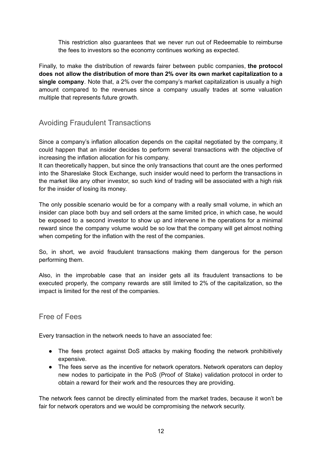This restriction also guarantees that we never run out of Redeemable to reimburse the fees to investors so the economy continues working as expected.

Finally, to make the distribution of rewards fairer between public companies, **the protocol does not allow the distribution of more than 2% over its own market capitalization to a single company**. Note that, a 2% over the company's market capitalization is usually a high amount compared to the revenues since a company usually trades at some valuation multiple that represents future growth.

#### <span id="page-11-0"></span>Avoiding Fraudulent Transactions

Since a company's inflation allocation depends on the capital negotiated by the company, it could happen that an insider decides to perform several transactions with the objective of increasing the inflation allocation for his company.

It can theoretically happen, but since the only transactions that count are the ones performed into the Shareslake Stock Exchange, such insider would need to perform the transactions in the market like any other investor, so such kind of trading will be associated with a high risk for the insider of losing its money.

The only possible scenario would be for a company with a really small volume, in which an insider can place both buy and sell orders at the same limited price, in which case, he would be exposed to a second investor to show up and intervene in the operations for a minimal reward since the company volume would be so low that the company will get almost nothing when competing for the inflation with the rest of the companies.

So, in short, we avoid fraudulent transactions making them dangerous for the person performing them.

Also, in the improbable case that an insider gets all its fraudulent transactions to be executed properly, the company rewards are still limited to 2% of the capitalization, so the impact is limited for the rest of the companies.

#### <span id="page-11-1"></span>Free of Fees

Every transaction in the network needs to have an associated fee:

- The fees protect against DoS attacks by making flooding the network prohibitively expensive.
- The fees serve as the incentive for network operators. Network operators can deploy new nodes to participate in the PoS (Proof of Stake) validation protocol in order to obtain a reward for their work and the resources they are providing.

The network fees cannot be directly eliminated from the market trades, because it won't be fair for network operators and we would be compromising the network security.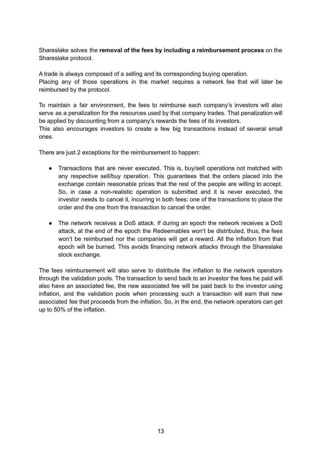Shareslake solves the **removal of the fees by including a reimbursement process** on the Shareslake protocol.

A trade is always composed of a selling and its corresponding buying operation. Placing any of those operations in the market requires a network fee that will later be reimbursed by the protocol.

To maintain a fair environment, the fees to reimburse each company's investors will also serve as a penalization for the resources used by that company trades. That penalization will be applied by discounting from a company's rewards the fees of its investors. This also encourages investors to create a few big transactions instead of several small

There are just 2 exceptions for the reimbursement to happen:

ones.

- Transactions that are never executed. This is, buy/sell operations not matched with any respective sell/buy operation. This guarantees that the orders placed into the exchange contain reasonable prices that the rest of the people are willing to accept. So, in case a non-realistic operation is submitted and it is never executed, the investor needs to cancel it, incurring in both fees: one of the transactions to place the order and the one from the transaction to cancel the order.
- The network receives a DoS attack. If during an epoch the network receives a DoS attack, at the end of the epoch the Redeemables won't be distributed, thus, the fees won't be reimbursed nor the companies will get a reward. All the inflation from that epoch will be burned. This avoids financing network attacks through the Shareslake stock exchange.

The fees reimbursement will also serve to distribute the inflation to the network operators through the validation pools. The transaction to send back to an investor the fees he paid will also have an associated fee, the new associated fee will be paid back to the investor using inflation, and the validation pools when processing such a transaction will earn that new associated fee that proceeds from the inflation. So, in the end, the network operators can get up to 50% of the inflation.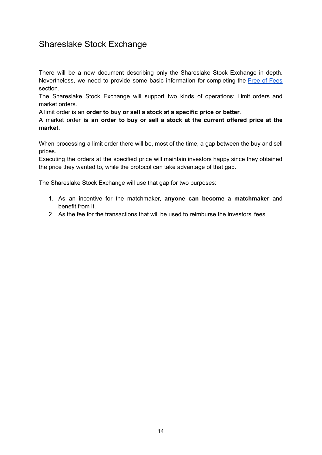# <span id="page-13-0"></span>Shareslake Stock Exchange

There will be a new document describing only the Shareslake Stock Exchange in depth. Nevertheless, we need to provide some basic information for completing the Free of [Fees](#page-11-1) section.

The Shareslake Stock Exchange will support two kinds of operations: Limit orders and market orders.

A limit order is an **order to buy or sell a stock at a specific price or better**.

A market order **is an order to buy or sell a stock at the current offered price at the market.**

When processing a limit order there will be, most of the time, a gap between the buy and sell prices.

Executing the orders at the specified price will maintain investors happy since they obtained the price they wanted to, while the protocol can take advantage of that gap.

The Shareslake Stock Exchange will use that gap for two purposes:

- 1. As an incentive for the matchmaker, **anyone can become a matchmaker** and benefit from it.
- 2. As the fee for the transactions that will be used to reimburse the investors' fees.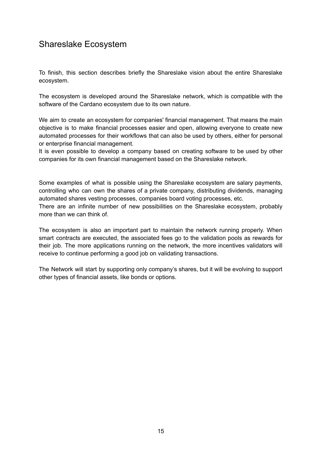# <span id="page-14-0"></span>Shareslake Ecosystem

To finish, this section describes briefly the Shareslake vision about the entire Shareslake ecosystem.

The ecosystem is developed around the Shareslake network, which is compatible with the software of the Cardano ecosystem due to its own nature.

We aim to create an ecosystem for companies' financial management. That means the main objective is to make financial processes easier and open, allowing everyone to create new automated processes for their workflows that can also be used by others, either for personal or enterprise financial management.

It is even possible to develop a company based on creating software to be used by other companies for its own financial management based on the Shareslake network.

Some examples of what is possible using the Shareslake ecosystem are salary payments, controlling who can own the shares of a private company, distributing dividends, managing automated shares vesting processes, companies board voting processes, etc.

There are an infinite number of new possibilities on the Shareslake ecosystem, probably more than we can think of.

The ecosystem is also an important part to maintain the network running properly. When smart contracts are executed, the associated fees go to the validation pools as rewards for their job. The more applications running on the network, the more incentives validators will receive to continue performing a good job on validating transactions.

The Network will start by supporting only company's shares, but it will be evolving to support other types of financial assets, like bonds or options.